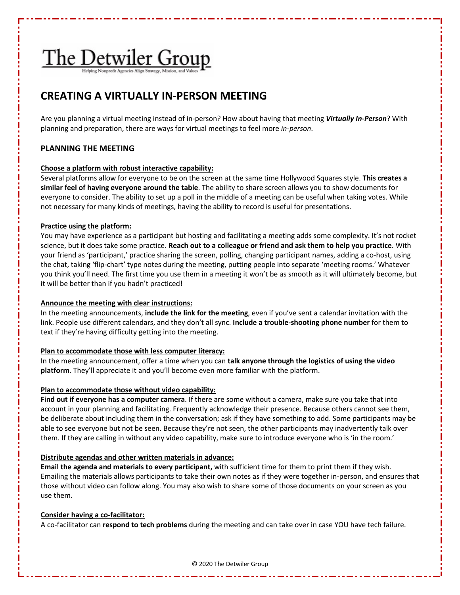# The Detwiler Group

# **CREATING A VIRTUALLY IN-PERSON MEETING**

Are you planning a virtual meeting instead of in-person? How about having that meeting *Virtually In-Person*? With planning and preparation, there are ways for virtual meetings to feel more *in-person*.

### **PLANNING THE MEETING**

#### **Choose a platform with robust interactive capability:**

Several platforms allow for everyone to be on the screen at the same time Hollywood Squares style. **This creates a similar feel of having everyone around the table**. The ability to share screen allows you to show documents for everyone to consider. The ability to set up a poll in the middle of a meeting can be useful when taking votes. While not necessary for many kinds of meetings, having the ability to record is useful for presentations.

#### **Practice using the platform:**

You may have experience as a participant but hosting and facilitating a meeting adds some complexity. It's not rocket science, but it does take some practice. **Reach out to a colleague or friend and ask them to help you practice**. With your friend as 'participant,' practice sharing the screen, polling, changing participant names, adding a co-host, using the chat, taking 'flip-chart' type notes during the meeting, putting people into separate 'meeting rooms.' Whatever you think you'll need. The first time you use them in a meeting it won't be as smooth as it will ultimately become, but it will be better than if you hadn't practiced!

#### **Announce the meeting with clear instructions:**

In the meeting announcements, **include the link for the meeting**, even if you've sent a calendar invitation with the link. People use different calendars, and they don't all sync. **Include a trouble-shooting phone number** for them to text if they're having difficulty getting into the meeting.

#### **Plan to accommodate those with less computer literacy:**

In the meeting announcement, offer a time when you can **talk anyone through the logistics of using the video platform**. They'll appreciate it and you'll become even more familiar with the platform.

#### **Plan to accommodate those without video capability:**

**Find out if everyone has a computer camera**. If there are some without a camera, make sure you take that into account in your planning and facilitating. Frequently acknowledge their presence. Because others cannot see them, be deliberate about including them in the conversation; ask if they have something to add. Some participants may be able to see everyone but not be seen. Because they're not seen, the other participants may inadvertently talk over them. If they are calling in without any video capability, make sure to introduce everyone who is 'in the room.'

#### **Distribute agendas and other written materials in advance:**

**Email the agenda and materials to every participant,** with sufficient time for them to print them if they wish. Emailing the materials allows participants to take their own notes as if they were together in-person, and ensures that those without video can follow along. You may also wish to share some of those documents on your screen as you use them.

#### **Consider having a co-facilitator:**

A co-facilitator can **respond to tech problems** during the meeting and can take over in case YOU have tech failure.